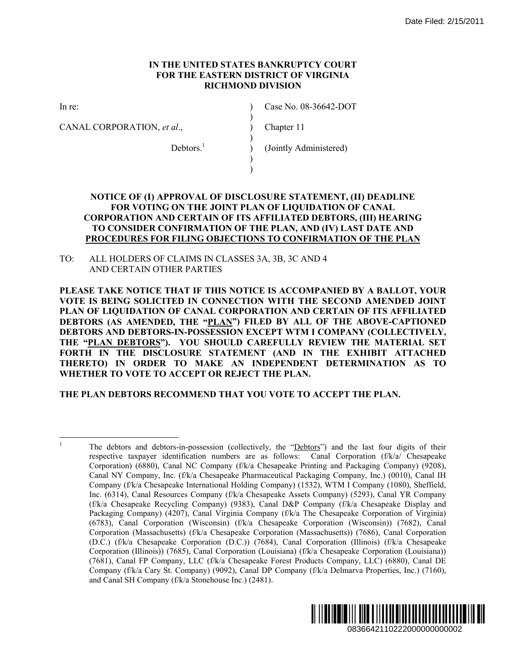#### **IN THE UNITED STATES BANKRUPTCY COURT FOR THE EASTERN DISTRICT OF VIRGINIA RICHMOND DIVISION**

 $\lambda$ )  $\mathcal{L}$  $\lambda$  $\lambda$ ) )

In re:

CANAL CORPORATION, *et al*.,

Case No. 08-36642-DOT

Chapter 11

 $Debtors.<sup>1</sup>$ 

(Jointly Administered)

## **NOTICE OF (I) APPROVAL OF DISCLOSURE STATEMENT, (II) DEADLINE FOR VOTING ON THE JOINT PLAN OF LIQUIDATION OF CANAL CORPORATION AND CERTAIN OF ITS AFFILIATED DEBTORS, (III) HEARING TO CONSIDER CONFIRMATION OF THE PLAN, AND (IV) LAST DATE AND PROCEDURES FOR FILING OBJECTIONS TO CONFIRMATION OF THE PLAN**

TO: ALL HOLDERS OF CLAIMS IN CLASSES 3A, 3B, 3C AND 4 AND CERTAIN OTHER PARTIES

**PLEASE TAKE NOTICE THAT IF THIS NOTICE IS ACCOMPANIED BY A BALLOT, YOUR VOTE IS BEING SOLICITED IN CONNECTION WITH THE SECOND AMENDED JOINT PLAN OF LIQUIDATION OF CANAL CORPORATION AND CERTAIN OF ITS AFFILIATED DEBTORS (AS AMENDED, THE "PLAN") FILED BY ALL OF THE ABOVE-CAPTIONED DEBTORS AND DEBTORS-IN-POSSESSION EXCEPT WTM I COMPANY (COLLECTIVELY, THE "PLAN DEBTORS"). YOU SHOULD CAREFULLY REVIEW THE MATERIAL SET FORTH IN THE DISCLOSURE STATEMENT (AND IN THE EXHIBIT ATTACHED THERETO) IN ORDER TO MAKE AN INDEPENDENT DETERMINATION AS TO WHETHER TO VOTE TO ACCEPT OR REJECT THE PLAN.** 

# **THE PLAN DEBTORS RECOMMEND THAT YOU VOTE TO ACCEPT THE PLAN.**

 $\frac{1}{1}$  The debtors and debtors-in-possession (collectively, the "Debtors") and the last four digits of their respective taxpayer identification numbers are as follows: Canal Corporation (f/k/a/ Chesapeake Corporation) (6880), Canal NC Company (f/k/a Chesapeake Printing and Packaging Company) (9208), Canal NY Company, Inc. (f/k/a Chesapeake Pharmaceutical Packaging Company, Inc.) (0010), Canal IH Company (f/k/a Chesapeake International Holding Company) (1532), WTM I Company (1080), Sheffield, Inc. (6314), Canal Resources Company (f/k/a Chesapeake Assets Company) (5293), Canal YR Company (f/k/a Chesapeake Recycling Company) (9383), Canal D&P Company (f/k/a Chesapeake Display and Packaging Company) (4207), Canal Virginia Company (f/k/a The Chesapeake Corporation of Virginia) (6783), Canal Corporation (Wisconsin) (f/k/a Chesapeake Corporation (Wisconsin)) (7682), Canal Corporation (Massachusetts) (f/k/a Chesapeake Corporation (Massachusetts)) (7686), Canal Corporation (D.C.) (f/k/a Chesapeake Corporation (D.C.)) (7684), Canal Corporation (Illinois) (f/k/a Chesapeake Corporation (Illinois)) (7685), Canal Corporation (Louisiana) (f/k/a Chesapeake Corporation (Louisiana)) (7681), Canal FP Company, LLC (f/k/a Chesapeake Forest Products Company, LLC) (6880), Canal DE Company (f/k/a Cary St. Company) (9092), Canal DP Company (f/k/a Delmarva Properties, Inc.) (7160), and Canal SH Company (f/k/a Stonehouse Inc.) (2481). Date Filed: 2/15/2011<br>
(II) DEADLINE<br>
OF CANAL<br>
OF CANAL<br>
OF CANAL<br>
S. (III) HEARING<br>
AST DATE AND<br>
DN OF THE PLAN<br>
DN OF THE PLAN<br>
PBY A BALLOT, YOUR<br>
ND OF TIS AFFILIATED<br>
E ABOVE-CAPTIONED<br>
NOLLOCTIVELY.<br>
THE MATERIAL S

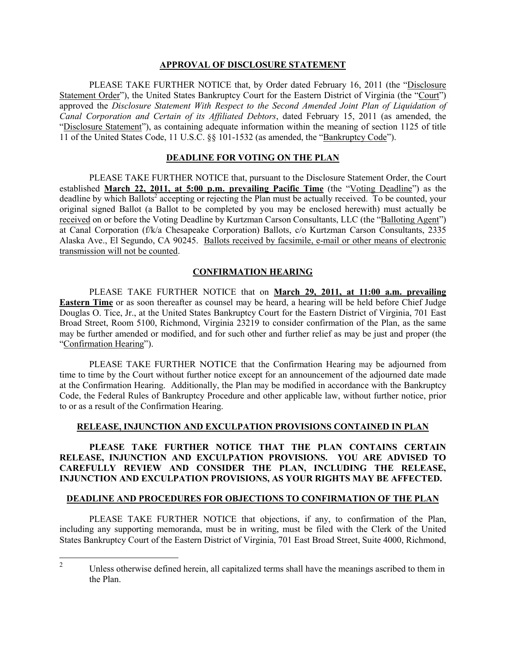#### **APPROVAL OF DISCLOSURE STATEMENT**

PLEASE TAKE FURTHER NOTICE that, by Order dated February 16, 2011 (the "Disclosure" Statement Order"), the United States Bankruptcy Court for the Eastern District of Virginia (the "Court") approved the *Disclosure Statement With Respect to the Second Amended Joint Plan of Liquidation of Canal Corporation and Certain of its Affiliated Debtors*, dated February 15, 2011 (as amended, the "Disclosure Statement"), as containing adequate information within the meaning of section 1125 of title 11 of the United States Code, 11 U.S.C. §§ 101-1532 (as amended, the "Bankruptcy Code").

# **DEADLINE FOR VOTING ON THE PLAN**

PLEASE TAKE FURTHER NOTICE that, pursuant to the Disclosure Statement Order, the Court established **March 22, 2011, at 5:00 p.m. prevailing Pacific Time** (the "Voting Deadline") as the deadline by which Ballots<sup>2</sup> accepting or rejecting the Plan must be actually received. To be counted, your original signed Ballot (a Ballot to be completed by you may be enclosed herewith) must actually be received on or before the Voting Deadline by Kurtzman Carson Consultants, LLC (the "Balloting Agent") at Canal Corporation (f/k/a Chesapeake Corporation) Ballots, c/o Kurtzman Carson Consultants, 2335 Alaska Ave., El Segundo, CA 90245. Ballots received by facsimile, e-mail or other means of electronic transmission will not be counted.

# **CONFIRMATION HEARING**

PLEASE TAKE FURTHER NOTICE that on **March 29, 2011, at 11:00 a.m. prevailing Eastern Time** or as soon thereafter as counsel may be heard, a hearing will be held before Chief Judge Douglas O. Tice, Jr., at the United States Bankruptcy Court for the Eastern District of Virginia, 701 East Broad Street, Room 5100, Richmond, Virginia 23219 to consider confirmation of the Plan, as the same may be further amended or modified, and for such other and further relief as may be just and proper (the "Confirmation Hearing").

PLEASE TAKE FURTHER NOTICE that the Confirmation Hearing may be adjourned from time to time by the Court without further notice except for an announcement of the adjourned date made at the Confirmation Hearing. Additionally, the Plan may be modified in accordance with the Bankruptcy Code, the Federal Rules of Bankruptcy Procedure and other applicable law, without further notice, prior to or as a result of the Confirmation Hearing.

## **RELEASE, INJUNCTION AND EXCULPATION PROVISIONS CONTAINED IN PLAN**

**PLEASE TAKE FURTHER NOTICE THAT THE PLAN CONTAINS CERTAIN RELEASE, INJUNCTION AND EXCULPATION PROVISIONS. YOU ARE ADVISED TO CAREFULLY REVIEW AND CONSIDER THE PLAN, INCLUDING THE RELEASE, INJUNCTION AND EXCULPATION PROVISIONS, AS YOUR RIGHTS MAY BE AFFECTED.** 

#### **DEADLINE AND PROCEDURES FOR OBJECTIONS TO CONFIRMATION OF THE PLAN**

PLEASE TAKE FURTHER NOTICE that objections, if any, to confirmation of the Plan, including any supporting memoranda, must be in writing, must be filed with the Clerk of the United States Bankruptcy Court of the Eastern District of Virginia, 701 East Broad Street, Suite 4000, Richmond,

 $\frac{1}{2}$  Unless otherwise defined herein, all capitalized terms shall have the meanings ascribed to them in the Plan.